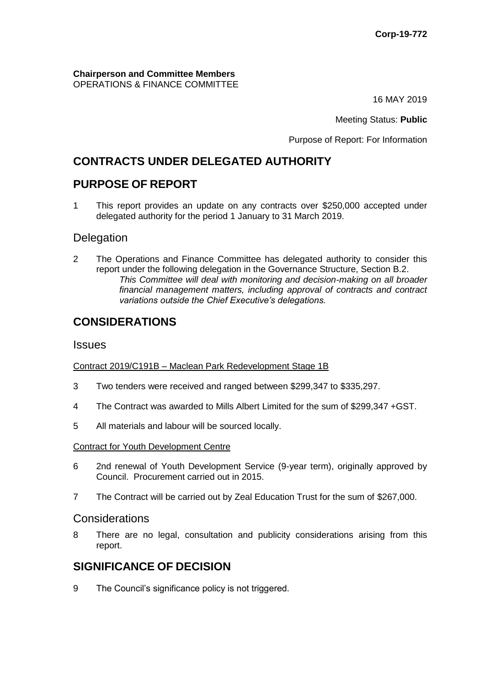**Chairperson and Committee Members** OPERATIONS & FINANCE COMMITTEE

16 MAY 2019

Meeting Status: **Public**

Purpose of Report: For Information

# **CONTRACTS UNDER DELEGATED AUTHORITY**

## **PURPOSE OF REPORT**

1 This report provides an update on any contracts over \$250,000 accepted under delegated authority for the period 1 January to 31 March 2019.

### **Delegation**

2 The Operations and Finance Committee has delegated authority to consider this report under the following delegation in the Governance Structure, Section B.2. *This Committee will deal with monitoring and decision-making on all broader financial management matters, including approval of contracts and contract variations outside the Chief Executive's delegations.*

## **CONSIDERATIONS**

#### **Issues**

#### Contract 2019/C191B – Maclean Park Redevelopment Stage 1B

- 3 Two tenders were received and ranged between \$299,347 to \$335,297.
- 4 The Contract was awarded to Mills Albert Limited for the sum of \$299,347 +GST.
- 5 All materials and labour will be sourced locally.

#### Contract for Youth Development Centre

- 6 2nd renewal of Youth Development Service (9-year term), originally approved by Council. Procurement carried out in 2015.
- 7 The Contract will be carried out by Zeal Education Trust for the sum of \$267,000.

### **Considerations**

8 There are no legal, consultation and publicity considerations arising from this report.

### **SIGNIFICANCE OF DECISION**

9 The Council's significance policy is not triggered.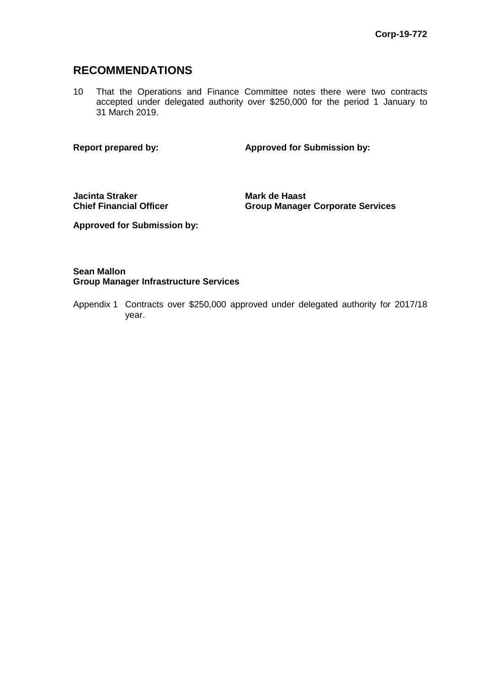### **RECOMMENDATIONS**

10 That the Operations and Finance Committee notes there were two contracts accepted under delegated authority over \$250,000 for the period 1 January to 31 March 2019.

**Report prepared by: Approved for Submission by:**

**Jacinta Straker Chief Financial Officer** **Mark de Haast Group Manager Corporate Services**

**Approved for Submission by:**

#### **Sean Mallon Group Manager Infrastructure Services**

Appendix 1 Contracts over \$250,000 approved under delegated authority for 2017/18 year.